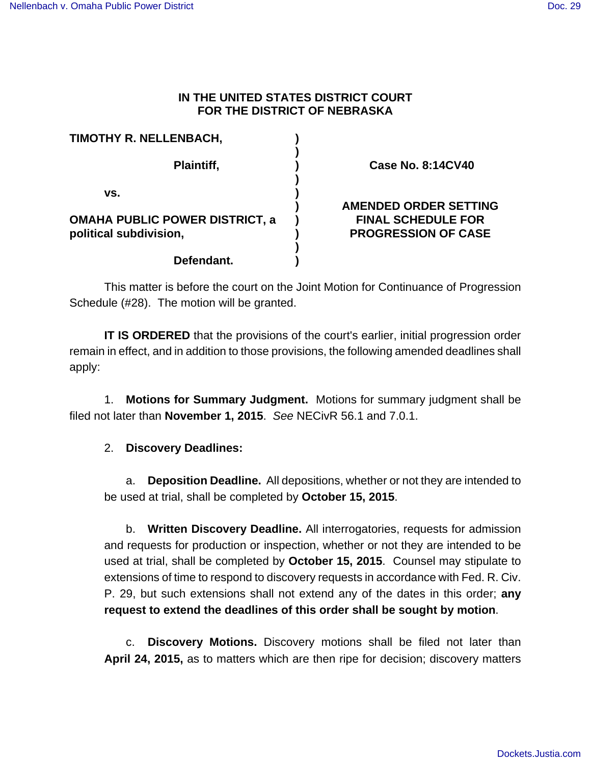## **IN THE UNITED STATES DISTRICT COURT FOR THE DISTRICT OF NEBRASKA**

| TIMOTHY R. NELLENBACH,                |                                                           |
|---------------------------------------|-----------------------------------------------------------|
| Plaintiff,                            | <b>Case No. 8:14CV40</b>                                  |
| VS.<br>OMAHA PUBLIC POWER DISTRICT, a | <b>AMENDED ORDER SETTING</b><br><b>FINAL SCHEDULE FOR</b> |
| political subdivision,<br>Defendant.  | <b>PROGRESSION OF CASE</b>                                |

This matter is before the court on the Joint Motion for Continuance of Progression Schedule (#28). The motion will be granted.

**IT IS ORDERED** that the provisions of the court's earlier, initial progression order remain in effect, and in addition to those provisions, the following amended deadlines shall apply:

1. **Motions for Summary Judgment.** Motions for summary judgment shall be filed not later than **November 1, 2015**. See NECivR 56.1 and 7.0.1.

# 2. **Discovery Deadlines:**

a. **Deposition Deadline.** All depositions, whether or not they are intended to be used at trial, shall be completed by **October 15, 2015**.

b. **Written Discovery Deadline.** All interrogatories, requests for admission and requests for production or inspection, whether or not they are intended to be used at trial, shall be completed by **October 15, 2015**. Counsel may stipulate to extensions of time to respond to discovery requests in accordance with Fed. R. Civ. P. 29, but such extensions shall not extend any of the dates in this order; **any request to extend the deadlines of this order shall be sought by motion**.

c. **Discovery Motions.** Discovery motions shall be filed not later than **April 24, 2015,** as to matters which are then ripe for decision; discovery matters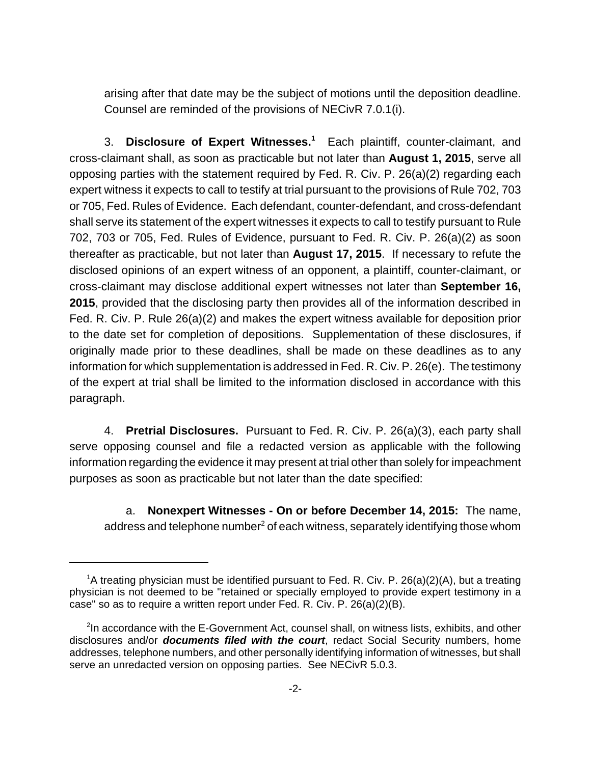arising after that date may be the subject of motions until the deposition deadline. Counsel are reminded of the provisions of NECivR 7.0.1(i).

3. **Disclosure of Expert Witnesses.<sup>1</sup>** Each plaintiff, counter-claimant, and cross-claimant shall, as soon as practicable but not later than **August 1, 2015**, serve all opposing parties with the statement required by Fed. R. Civ. P. 26(a)(2) regarding each expert witness it expects to call to testify at trial pursuant to the provisions of Rule 702, 703 or 705, Fed. Rules of Evidence. Each defendant, counter-defendant, and cross-defendant shall serve its statement of the expert witnesses it expects to call to testify pursuant to Rule 702, 703 or 705, Fed. Rules of Evidence, pursuant to Fed. R. Civ. P. 26(a)(2) as soon thereafter as practicable, but not later than **August 17, 2015**. If necessary to refute the disclosed opinions of an expert witness of an opponent, a plaintiff, counter-claimant, or cross-claimant may disclose additional expert witnesses not later than **September 16, 2015**, provided that the disclosing party then provides all of the information described in Fed. R. Civ. P. Rule 26(a)(2) and makes the expert witness available for deposition prior to the date set for completion of depositions. Supplementation of these disclosures, if originally made prior to these deadlines, shall be made on these deadlines as to any information for which supplementation is addressed in Fed. R. Civ. P. 26(e). The testimony of the expert at trial shall be limited to the information disclosed in accordance with this paragraph.

4. **Pretrial Disclosures.** Pursuant to Fed. R. Civ. P. 26(a)(3), each party shall serve opposing counsel and file a redacted version as applicable with the following information regarding the evidence it may present at trial other than solely for impeachment purposes as soon as practicable but not later than the date specified:

a. **Nonexpert Witnesses - On or before December 14, 2015:** The name, address and telephone number $^2$  of each witness, separately identifying those whom

<sup>&</sup>lt;sup>1</sup>A treating physician must be identified pursuant to Fed. R. Civ. P. 26(a)(2)(A), but a treating physician is not deemed to be "retained or specially employed to provide expert testimony in a case" so as to require a written report under Fed. R. Civ. P. 26(a)(2)(B).

<sup>&</sup>lt;sup>2</sup>In accordance with the E-Government Act, counsel shall, on witness lists, exhibits, and other disclosures and/or **documents filed with the court**, redact Social Security numbers, home addresses, telephone numbers, and other personally identifying information of witnesses, but shall serve an unredacted version on opposing parties. See NECivR 5.0.3.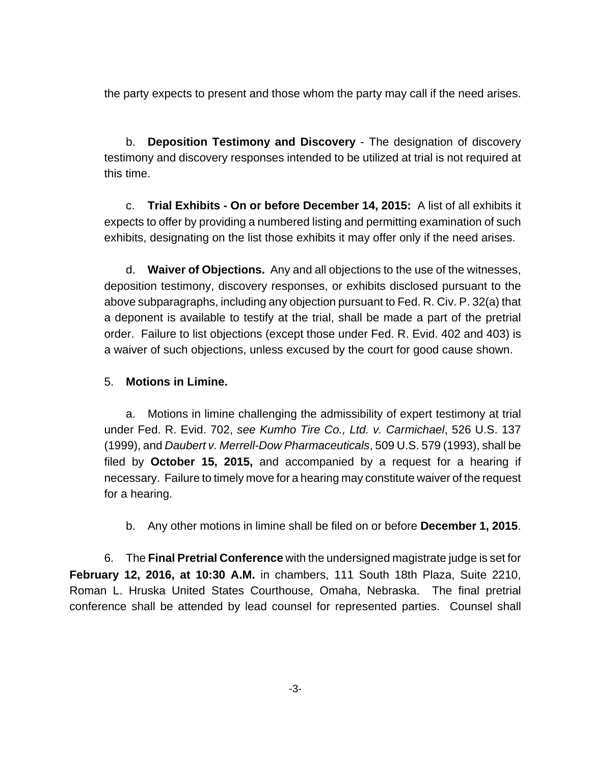the party expects to present and those whom the party may call if the need arises.

b. **Deposition Testimony and Discovery** - The designation of discovery testimony and discovery responses intended to be utilized at trial is not required at this time.

c. **Trial Exhibits - On or before December 14, 2015:** A list of all exhibits it expects to offer by providing a numbered listing and permitting examination of such exhibits, designating on the list those exhibits it may offer only if the need arises.

d. **Waiver of Objections.** Any and all objections to the use of the witnesses, deposition testimony, discovery responses, or exhibits disclosed pursuant to the above subparagraphs, including any objection pursuant to Fed. R. Civ. P. 32(a) that a deponent is available to testify at the trial, shall be made a part of the pretrial order. Failure to list objections (except those under Fed. R. Evid. 402 and 403) is a waiver of such objections, unless excused by the court for good cause shown.

### 5. **Motions in Limine.**

a. Motions in limine challenging the admissibility of expert testimony at trial under Fed. R. Evid. 702, see Kumho Tire Co., Ltd. v. Carmichael, 526 U.S. 137 (1999), and Daubert v. Merrell-Dow Pharmaceuticals, 509 U.S. 579 (1993), shall be filed by **October 15, 2015,** and accompanied by a request for a hearing if necessary. Failure to timely move for a hearing may constitute waiver of the request for a hearing.

b. Any other motions in limine shall be filed on or before **December 1, 2015**.

6. The **Final Pretrial Conference** with the undersigned magistrate judge is set for **February 12, 2016, at 10:30 A.M.** in chambers, 111 South 18th Plaza, Suite 2210, Roman L. Hruska United States Courthouse, Omaha, Nebraska. The final pretrial conference shall be attended by lead counsel for represented parties. Counsel shall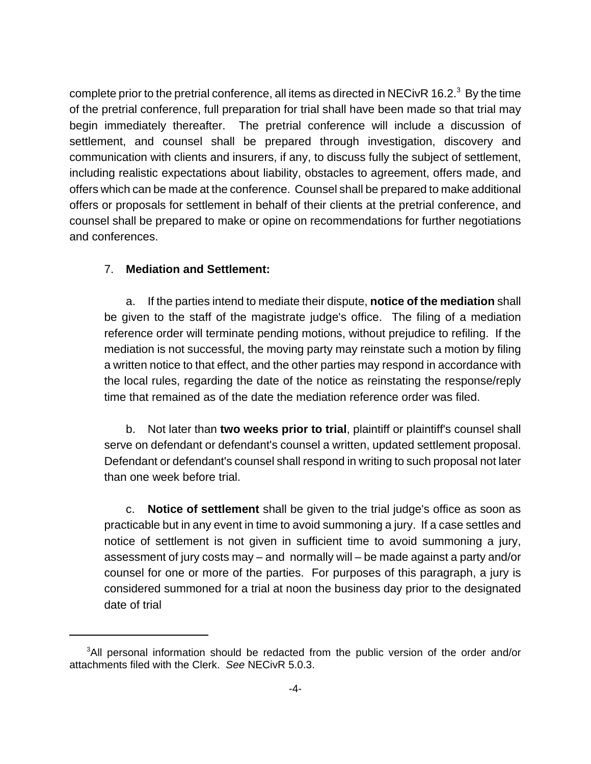complete prior to the pretrial conference, all items as directed in NECivR 16.2. $^3$  By the time of the pretrial conference, full preparation for trial shall have been made so that trial may begin immediately thereafter. The pretrial conference will include a discussion of settlement, and counsel shall be prepared through investigation, discovery and communication with clients and insurers, if any, to discuss fully the subject of settlement, including realistic expectations about liability, obstacles to agreement, offers made, and offers which can be made at the conference. Counsel shall be prepared to make additional offers or proposals for settlement in behalf of their clients at the pretrial conference, and counsel shall be prepared to make or opine on recommendations for further negotiations and conferences.

#### 7. **Mediation and Settlement:**

a. If the parties intend to mediate their dispute, **notice of the mediation** shall be given to the staff of the magistrate judge's office. The filing of a mediation reference order will terminate pending motions, without prejudice to refiling. If the mediation is not successful, the moving party may reinstate such a motion by filing a written notice to that effect, and the other parties may respond in accordance with the local rules, regarding the date of the notice as reinstating the response/reply time that remained as of the date the mediation reference order was filed.

b. Not later than **two weeks prior to trial**, plaintiff or plaintiff's counsel shall serve on defendant or defendant's counsel a written, updated settlement proposal. Defendant or defendant's counsel shall respond in writing to such proposal not later than one week before trial.

c. **Notice of settlement** shall be given to the trial judge's office as soon as practicable but in any event in time to avoid summoning a jury. If a case settles and notice of settlement is not given in sufficient time to avoid summoning a jury, assessment of jury costs may – and normally will – be made against a party and/or counsel for one or more of the parties. For purposes of this paragraph, a jury is considered summoned for a trial at noon the business day prior to the designated date of trial

<sup>&</sup>lt;sup>3</sup>All personal information should be redacted from the public version of the order and/or attachments filed with the Clerk. See NECivR 5.0.3.